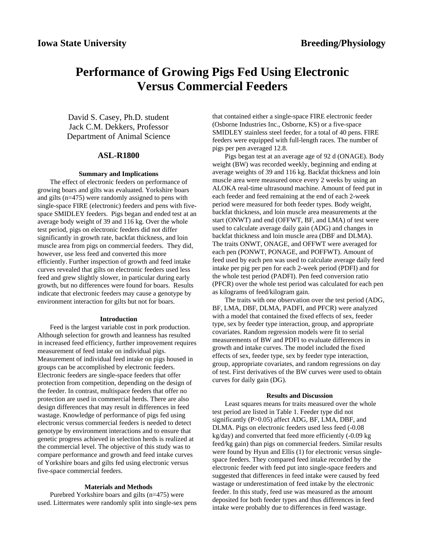# **Performance of Growing Pigs Fed Using Electronic Versus Commercial Feeders**

David S. Casey, Ph.D. student Jack C.M. Dekkers, Professor Department of Animal Science

#### **ASL-R1800**

#### **Summary and Implications**

The effect of electronic feeders on performance of growing boars and gilts was evaluated. Yorkshire boars and gilts (n=475) were randomly assigned to pens with single-space FIRE (electronic) feeders and pens with fivespace SMIDLEY feeders. Pigs began and ended test at an average body weight of 39 and 116 kg. Over the whole test period, pigs on electronic feeders did not differ significantly in growth rate, backfat thickness, and loin muscle area from pigs on commercial feeders. They did, however, use less feed and converted this more efficiently. Further inspection of growth and feed intake curves revealed that gilts on electronic feeders used less feed and grew slightly slower, in particular during early growth, but no differences were found for boars. Results indicate that electronic feeders may cause a genotype by environment interaction for gilts but not for boars.

#### **Introduction**

Feed is the largest variable cost in pork production. Although selection for growth and leanness has resulted in increased feed efficiency, further improvement requires measurement of feed intake on individual pigs. Measurement of individual feed intake on pigs housed in groups can be accomplished by electronic feeders. Electronic feeders are single-space feeders that offer protection from competition, depending on the design of the feeder. In contrast, multispace feeders that offer no protection are used in commercial herds. There are also design differences that may result in differences in feed wastage. Knowledge of performance of pigs fed using electronic versus commercial feeders is needed to detect genotype by environment interactions and to ensure that genetic progress achieved in selection herds is realized at the commercial level. The objective of this study was to compare performance and growth and feed intake curves of Yorkshire boars and gilts fed using electronic versus five-space commercial feeders.

### **Materials and Methods**

Purebred Yorkshire boars and gilts (n=475) were used. Littermates were randomly split into single-sex pens

that contained either a single-space FIRE electronic feeder (Osborne Industries Inc., Osborne, KS) or a five-space SMIDLEY stainless steel feeder, for a total of 40 pens. FIRE feeders were equipped with full-length races. The number of pigs per pen averaged 12.8.

Pigs began test at an average age of 92 d (ONAGE). Body weight (BW) was recorded weekly, beginning and ending at average weights of 39 and 116 kg. Backfat thickness and loin muscle area were measured once every 2 weeks by using an ALOKA real-time ultrasound machine. Amount of feed put in each feeder and feed remaining at the end of each 2-week period were measured for both feeder types. Body weight, backfat thickness, and loin muscle area measurements at the start (ONWT) and end (OFFWT, BF, and LMA) of test were used to calculate average daily gain (ADG) and changes in backfat thickness and loin muscle area (DBF and DLMA). The traits ONWT, ONAGE, and OFFWT were averaged for each pen (PONWT, PONAGE, and POFFWT). Amount of feed used by each pen was used to calculate average daily feed intake per pig per pen for each 2-week period (PDFI) and for the whole test period (PADFI). Pen feed conversion ratio (PFCR) over the whole test period was calculated for each pen as kilograms of feed/kilogram gain.

The traits with one observation over the test period (ADG, BF, LMA, DBF, DLMA, PADFI, and PFCR) were analyzed with a model that contained the fixed effects of sex, feeder type, sex by feeder type interaction, group, and appropriate covariates. Random regression models were fit to serial measurements of BW and PDFI to evaluate differences in growth and intake curves. The model included the fixed effects of sex, feeder type, sex by feeder type interaction, group, appropriate covariates, and random regressions on day of test. First derivatives of the BW curves were used to obtain curves for daily gain (DG).

#### **Results and Discussion**

Least squares means for traits measured over the whole test period are listed in Table 1. Feeder type did not significantly (P>0.05) affect ADG, BF, LMA, DBF, and DLMA. Pigs on electronic feeders used less feed (-0.08 kg/day) and converted that feed more efficiently (-0.09 kg feed/kg gain) than pigs on commercial feeders. Similar results were found by Hyun and Ellis (1) for electronic versus singlespace feeders. They compared feed intake recorded by the electronic feeder with feed put into single-space feeders and suggested that differences in feed intake were caused by feed wastage or underestimation of feed intake by the electronic feeder. In this study, feed use was measured as the amount deposited for both feeder types and thus differences in feed intake were probably due to differences in feed wastage.